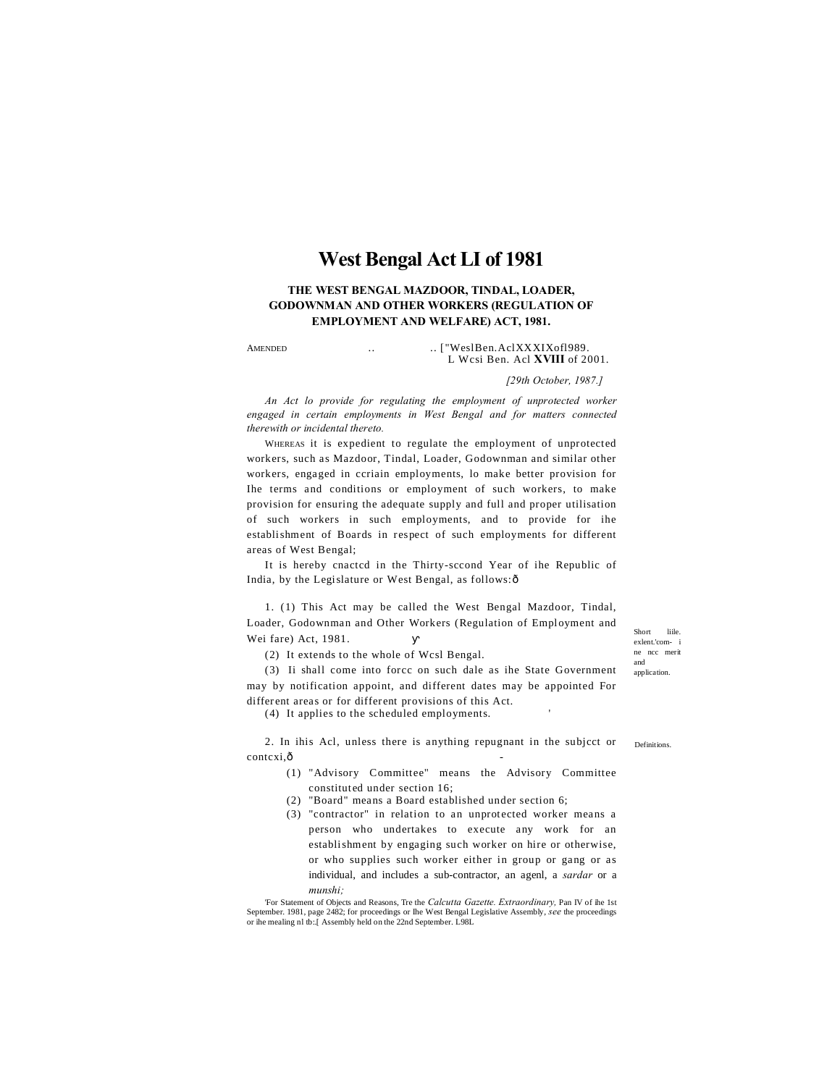# **West Bengal Act LI of 1981**

**THE WEST BENGAL MAZDOOR, TINDAL, LOADER, GODOWNMAN AND OTHER WORKERS (REGULATION OF EMPLOYMENT AND WELFARE) ACT, 1981.**

AMENDED ... ... ["WeslBen.AclXXXIXofl989. L Wcsi Ben. Acl **XVIII** of 2001.

*[29th October, 1987.]*

*An Act lo provide for regulating the employment of unprotected worker engaged in certain employments in West Bengal and for matters connected therewith or incidental thereto.*

WHEREAS it is expedient to regulate the employment of unprotected workers, such as Mazdoor, Tindal, Loader, Godownman and similar other workers, engaged in ccriain employments, lo make better provision for Ihe terms and conditions or employment of such workers, to make provision for ensuring the adequate supply and full and proper utilisation of such workers in such employments, and to provide for ihe establishment of Boards in respect of such employments for different areas of West Bengal;

It is hereby cnactcd in the Thirty-sccond Year of ihe Republic of India, by the Legislature or West Bengal, as follows: ô

1. (1) This Act may be called the West Bengal Mazdoor, Tindal, Loader, Godownman and Other Workers (Regulation of Employment and Wei fare) Act, 1981.

(2) It extends to the whole of Wcsl Bengal.

(3) Ii shall come into forcc on such dale as ihe State Government may by notification appoint, and different dates may be appointed For different areas or for different provisions of this Act.

(4) It applies to the scheduled employments. '

2. In ihis Acl, unless there is anything repugnant in the subjcct or contcxi.ô

- (1) "Advisory Committee" means the Advisory Committee constituted under section 16;
- (2) "Board" means a Board established under section 6;
- (3) "contractor" in relation to an unprotected worker means a person who undertakes to execute any work for an establishment by engaging such worker on hire or otherwise, or who supplies such worker either in group or gang or as individual, and includes a sub-contractor, an agenl, a *sardar* or a *munshi;*

'For Statement of Objects and Reasons, Tre the *Calcutta Gazette. Extraordinary,* Pan IV of ihe 1st September. 1981, page 2482; for proceedings or Ihe West Bengal Legislative Assembly, *see* the proceedings or ihe mealing nl tb:.[ Assembly held on the 22nd September. L98L Short liile. exlent.'com- i ne ncc merit and application.

Definitions.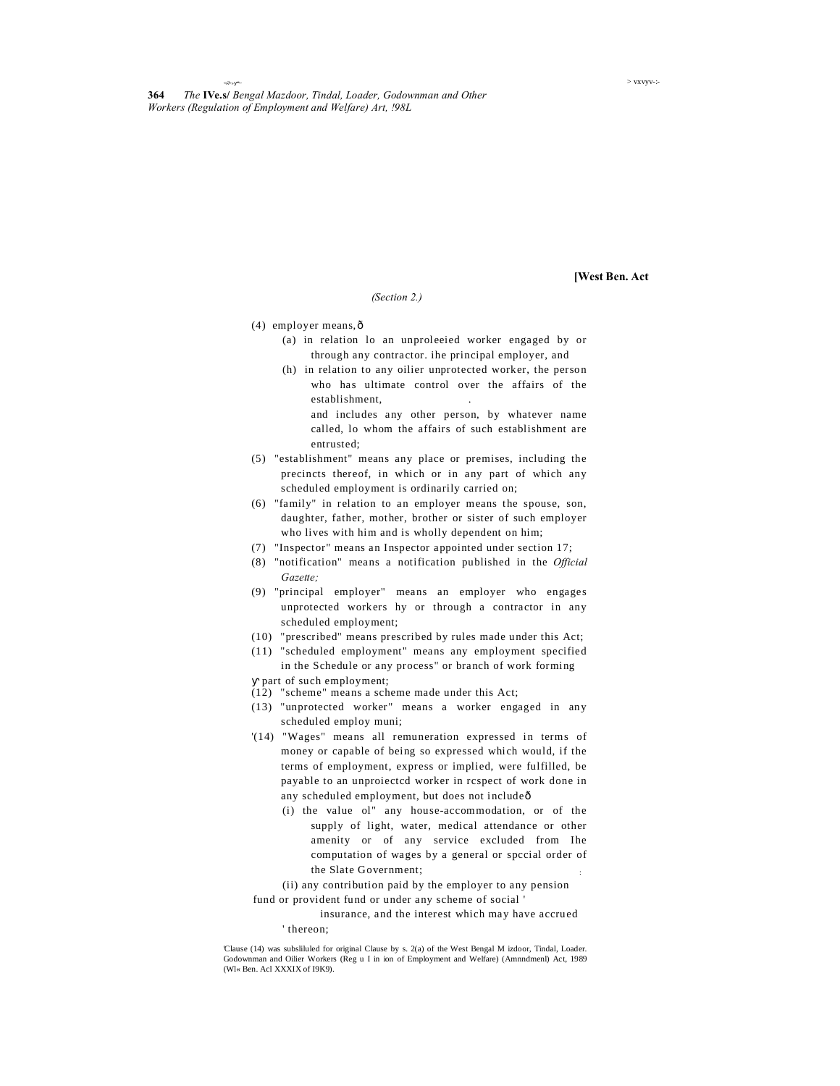<»?>:- \*~ > vxvyv-:-

**[West Ben. Act**

### *(Section 2.)*

- (4) employer means, ô
	- (a) in relation lo an unproleeied worker engaged by or through any contractor. ihe principal employer, and
	- (h) in relation to any oilier unprotected worker, the person who has ultimate control over the affairs of the establishment, .
		- and includes any other person, by whatever name called, lo whom the affairs of such establishment are entrusted;
- (5) "establishment" means any place or premises, including the precincts thereof, in which or in any part of which any scheduled employment is ordinarily carried on;
- (6) "family" in relation to an employer means the spouse, son, daughter, father, mother, brother or sister of such employer who lives with him and is wholly dependent on him;
- (7) "Inspector" means an Inspector appointed under section 17;
- (8) "notification" means a notification published in the *Official Gazette;*
- (9) "principal employer" means an employer who engages unprotected workers hy or through a contractor in any scheduled employment;
- (10) "prescribed" means prescribed by rules made under this Act;
- (11) "scheduled employment" means any employment specified in the Schedule or any process" or branch of work forming

part of such employment;

- (12) "scheme" means a scheme made under this Act;
- (13) "unprotected worker" means a worker engaged in any scheduled employ muni;
- '(14) "Wages" means all remuneration expressed in terms of money or capable of being so expressed which would, if the terms of employment, express or implied, were fulfilled, be payable to an unproiectcd worker in rcspect of work done in any scheduled employment, but does not includeô
	- (i) the value ol" any house-accommodation, or of the supply of light, water, medical attendance or other amenity or of any service excluded from Ihe computation of wages by a general or spccial order of the Slate Government; :

(ii) any contribution paid by the employer to any pension fund or provident fund or under any scheme of social '

insurance, and the interest which may have accrued

' thereon;

'Clause (14) was subsliluled for original Clause by s. 2(a) of the West Bengal M izdoor, Tindal, Loader. Godownman and Oilier Workers (Reg u I in ion of Employment and Welfare) (Amnndmenl) Act, 1989 (Wl« Ben. Acl XXXIX of I9K9).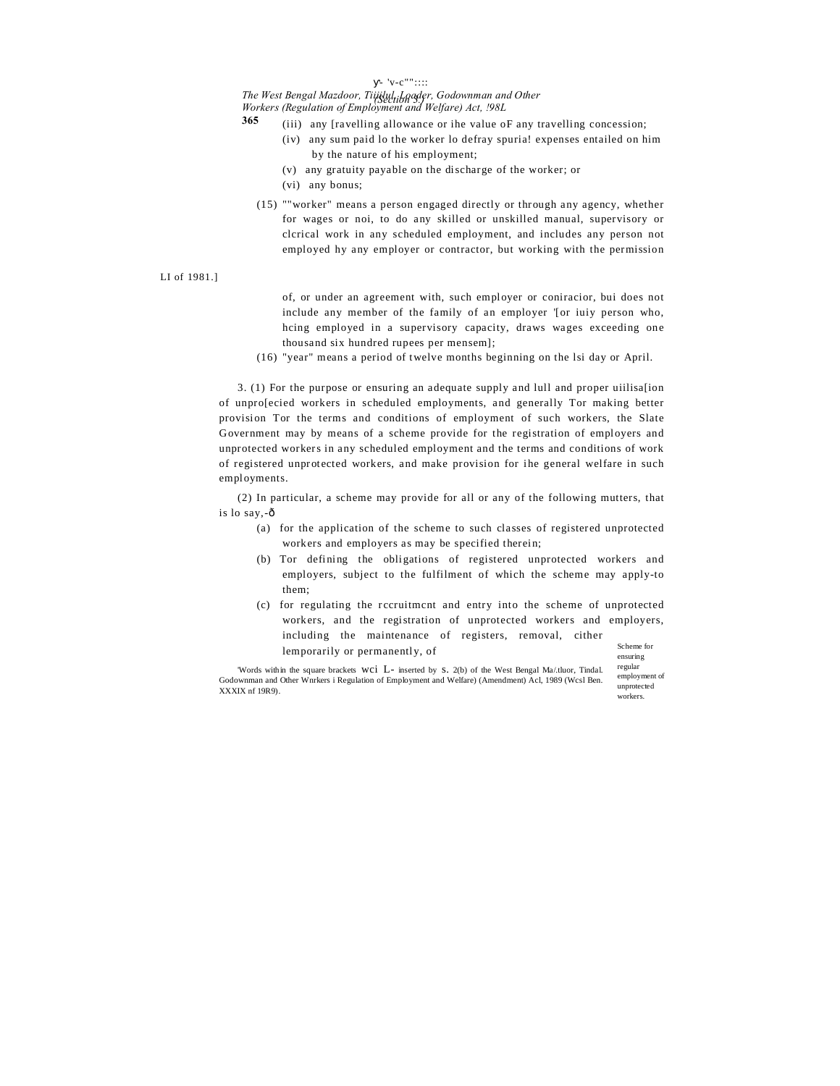### $v-c$ "" $\cdots$

# *The West Bengal Mazdoor, Tiiiilul, Loader, Godownman and Other (Section 3.)*

*Workers (Regulation of Employment and Welfare) Act, !98L* **365**

- (iii) any [ravelling allowance or ihe value oF any travelling concession;
	- (iv) any sum paid lo the worker lo defray spuria! expenses entailed on him by the nature of his employment;
	- (v) any gratuity payable on the discharge of the worker; or
	- (vi) any bonus;
- (15) ""worker" means a person engaged directly or through any agency, whether for wages or noi, to do any skilled or unskilled manual, supervisory or clcrical work in any scheduled employment, and includes any person not employed hy any employer or contractor, but working with the permission

LI of 1981.]

- of, or under an agreement with, such employer or coniracior, bui does not include any member of the family of an employer '[or iuiy person who, hcing employed in a supervisory capacity, draws wages exceeding one thousand six hundred rupees per mensem];
- (16) "year" means a period of twelve months beginning on the lsi day or April.

3. (1) For the purpose or ensuring an adequate supply and lull and proper uiilisa[ion of unpro[ecied workers in scheduled employments, and generally Tor making better provision Tor the terms and conditions of employment of such workers, the Slate Government may by means of a scheme provide for the registration of employers and unprotected workers in any scheduled employment and the terms and conditions of work of registered unprotected workers, and make provision for ihe general welfare in such employments.

(2) In particular, a scheme may provide for all or any of the following mutters, that is lo say,-ô

- (a) for the application of the scheme to such classes of registered unprotected workers and employers as may be specified therein;
- (b) Tor defining the obligations of registered unprotected workers and employers, subject to the fulfilment of which the scheme may apply-to them;
- Scheme for (c) for regulating the rccruitmcnt and entry into the scheme of unprotected workers, and the registration of unprotected workers and employers, including the maintenance of registers, removal, cither lemporarily or permanently, of

'Words within the square brackets wci L- inserted by s. 2(b) of the West Bengal Ma/.tluor, Tindal. Godownman and Other Wnrkers i Regulation of Employment and Welfare) (Amendment) Acl, 1989 (Wcsl Ben. XXXIX nf 19R9).

ensuring regular employment of unprotected workers.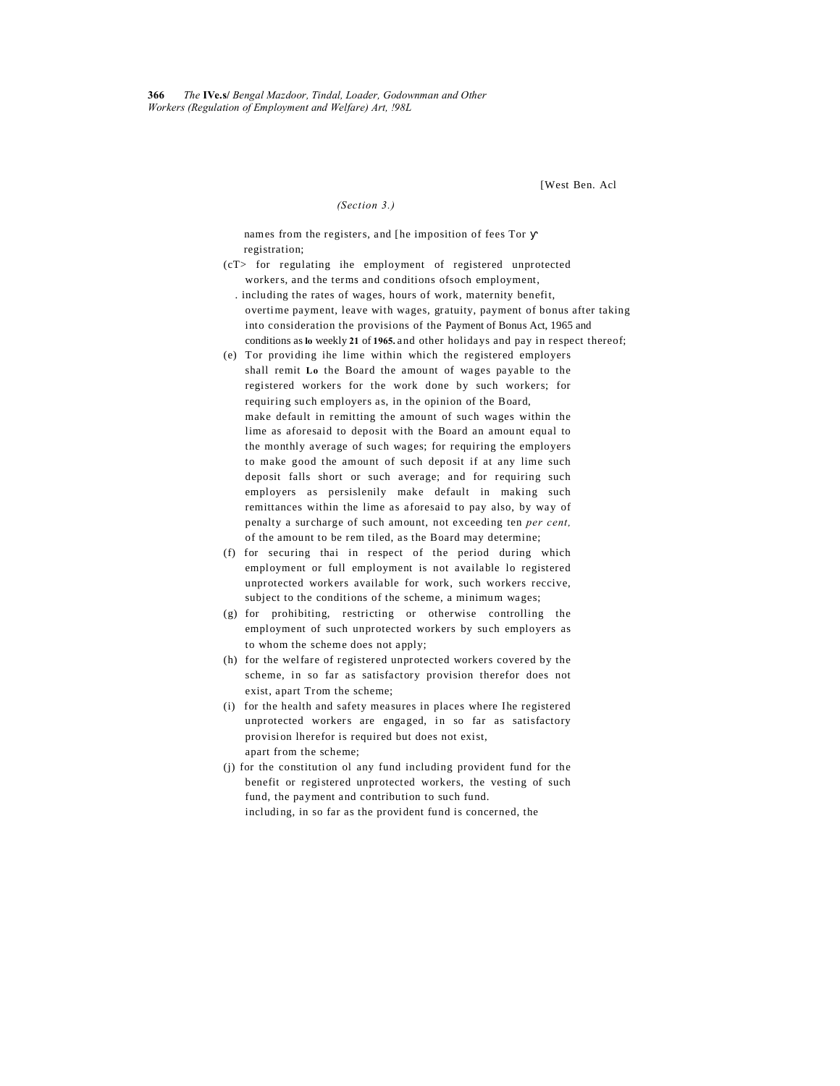[West Ben. Acl

#### *(Section 3.)*

names from the registers, and [he imposition of fees Tor registration;

- (cT> for regulating ihe employment of registered unprotected workers, and the terms and conditions ofsoch employment,
- . including the rates of wages, hours of work, maternity benefit, overtime payment, leave with wages, gratuity, payment of bonus after taking into consideration the provisions of the Payment of Bonus Act, 1965 and conditions as **lo** weekly **21** of **1965.** and other holidays and pay in respect thereof;
- (e) Tor providing ihe lime within which the registered employers shall remit **Lo** the Board the amount of wages payable to the registered workers for the work done by such workers; for requiring such employers as, in the opinion of the Board, make default in remitting the amount of such wages within the lime as aforesaid to deposit with the Board an amount equal to the monthly average of such wages; for requiring the employers to make good the amount of such deposit if at any lime such deposit falls short or such average; and for requiring such employers as persislenily make default in making such remittances within the lime as aforesaid to pay also, by way of penalty a surcharge of such amount, not exceeding ten *per cent,* of the amount to be rem tiled, as the Board may determine;
- (f) for securing thai in respect of the period during which employment or full employment is not available lo registered unprotected workers available for work, such workers reccive, subject to the conditions of the scheme, a minimum wages;
- (g) for prohibiting, restricting or otherwise controlling the employment of such unprotected workers by such employers as to whom the scheme does not apply;
- (h) for the welfare of registered unprotected workers covered by the scheme, in so far as satisfactory provision therefor does not exist, apart Trom the scheme;
- (i) for the health and safety measures in places where Ihe registered unprotected workers are engaged, in so far as satisfactory provision lherefor is required but does not exist, apart from the scheme;
- (j) for the constitution ol any fund including provident fund for the benefit or registered unprotected workers, the vesting of such fund, the payment and contribution to such fund. including, in so far as the provident fund is concerned, the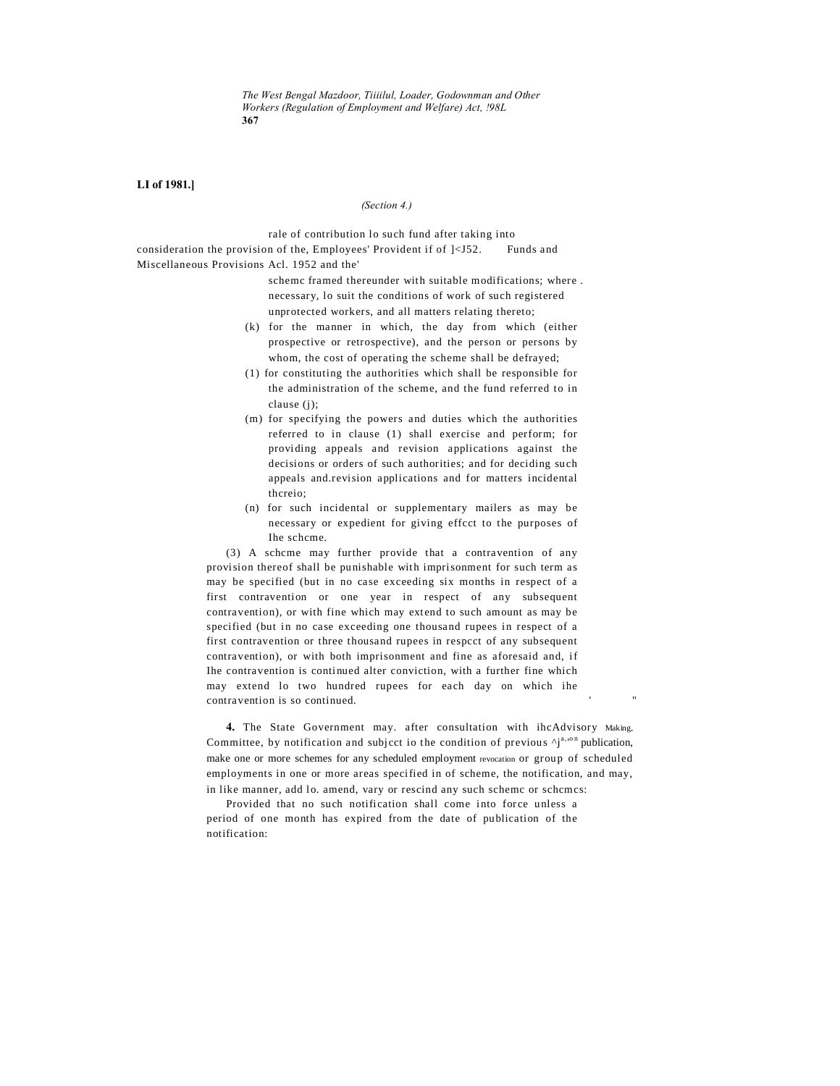*The West Bengal Mazdoor, Tiiiilul, Loader, Godownman and Other Workers (Regulation of Employment and Welfare) Act, !98L* **367**

### **LI of 1981.]**

#### *(Section 4.)*

rale of contribution lo such fund after taking into consideration the provision of the, Employees' Provident if of  $\vert$ <J52. Funds and Miscellaneous Provisions Acl. 1952 and the'

schemc framed thereunder with suitable modifications; where . necessary, lo suit the conditions of work of such registered unprotected workers, and all matters relating thereto;

- (k) for the manner in which, the day from which (either prospective or retrospective), and the person or persons by whom, the cost of operating the scheme shall be defrayed;
- (1) for constituting the authorities which shall be responsible for the administration of the scheme, and the fund referred to in clause (j);
- (m) for specifying the powers and duties which the authorities referred to in clause (1) shall exercise and perform; for providing appeals and revision applications against the decisions or orders of such authorities; and for deciding such appeals and.revision applications and for matters incidental thcreio;
- (n) for such incidental or supplementary mailers as may be necessary or expedient for giving effcct to the purposes of Ihe schcme.

(3) A schcme may further provide that a contravention of any provision thereof shall be punishable with imprisonment for such term as may be specified (but in no case exceeding six months in respect of a first contravention or one year in respect of any subsequent contravention), or with fine which may extend to such amount as may be specified (but in no case exceeding one thousand rupees in respect of a first contravention or three thousand rupees in respcct of any subsequent contravention), or with both imprisonment and fine as aforesaid and, if Ihe contravention is continued alter conviction, with a further fine which may extend lo two hundred rupees for each day on which ihe contravention is so continued.

**4.** The State Government may. after consultation with ihcAdvisory Making, Committee, by notification and subject io the condition of previous  $\Delta j^{a,\sigma n}$  publication, make one or more schemes for any scheduled employment revocation or group of scheduled employments in one or more areas specified in of scheme, the notification, and may, in like manner, add lo. amend, vary or rescind any such schemc or schcmcs:

Provided that no such notification shall come into force unless a period of one month has expired from the date of publication of the notification: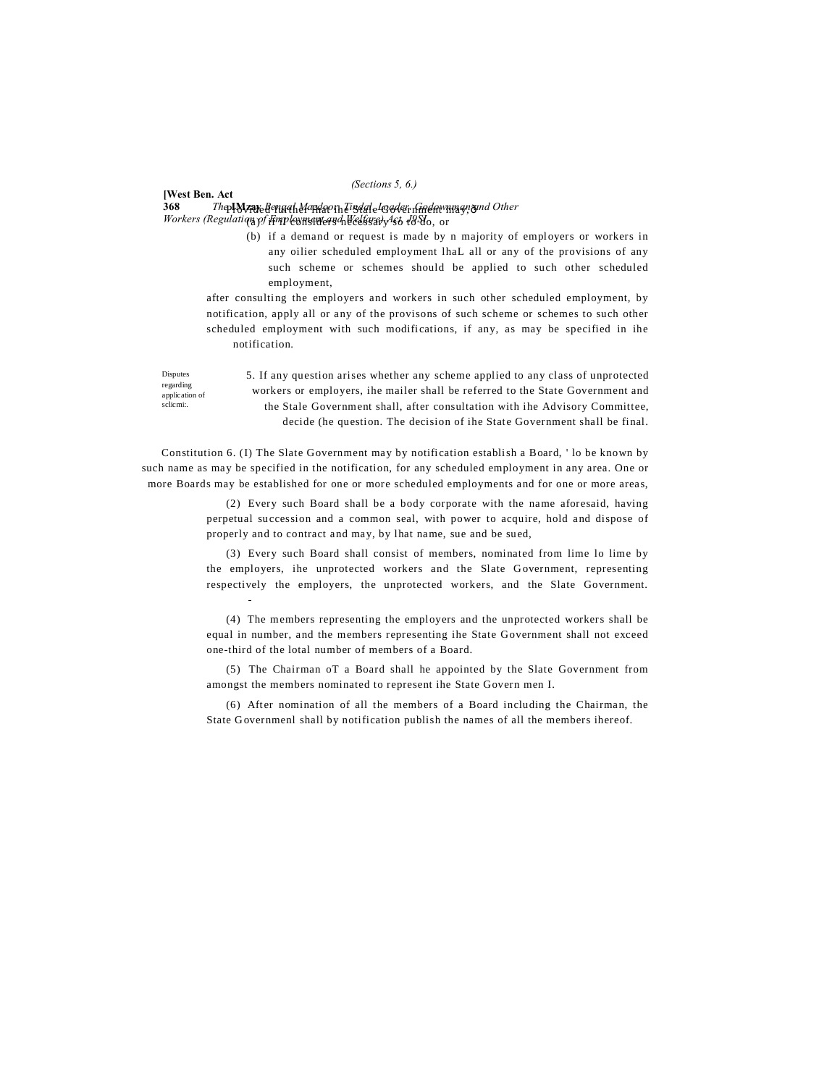#### *(Sections 5, 6.)*

### **368** *The* **IMzay** *Bengal Mazdoor, Tindal, Loader. Godownman and Other* Provided further lhat ihe Stale Government may,— Workers (Regulation of <del>Finploymsmeard Welfsra) Ast 1</del>886, or

**[West Ben. Act**

Disputes regarding application of sclicmi:.

-

(b) if a demand or request is made by n majority of employers or workers in any oilier scheduled employment lhaL all or any of the provisions of any such scheme or schemes should be applied to such other scheduled employment,

after consulting the employers and workers in such other scheduled employment, by notification, apply all or any of the provisons of such scheme or schemes to such other scheduled employment with such modifications, if any, as may be specified in ihe notification.

5. If any question arises whether any scheme applied to any class of unprotected workers or employers, ihe mailer shall be referred to the State Government and the Stale Government shall, after consultation with ihe Advisory Committee, decide (he question. The decision of ihe State Government shall be final.

Constitution 6. (I) The Slate Government may by notification establish a Board, ' lo be known by such name as may be specified in the notification, for any scheduled employment in any area. One or more Boards may be established for one or more scheduled employments and for one or more areas,

> (2) Every such Board shall be a body corporate with the name aforesaid, having perpetual succession and a common seal, with power to acquire, hold and dispose of properly and to contract and may, by lhat name, sue and be sued,

> (3) Every such Board shall consist of members, nominated from lime lo lime by the employers, ihe unprotected workers and the Slate G overnment, representing respectively the employers, the unprotected workers, and the Slate Government.

> (4) The members representing the employers and the unprotected workers shall be equal in number, and the members representing ihe State Government shall not exceed one-third of the lotal number of members of a Board.

> (5) The Chairman oT a Board shall he appointed by the Slate Government from amongst the members nominated to represent ihe State Govern men I.

> (6) After nomination of all the members of a Board including the Chairman, the State Governmenl shall by notification publish the names of all the members ihereof.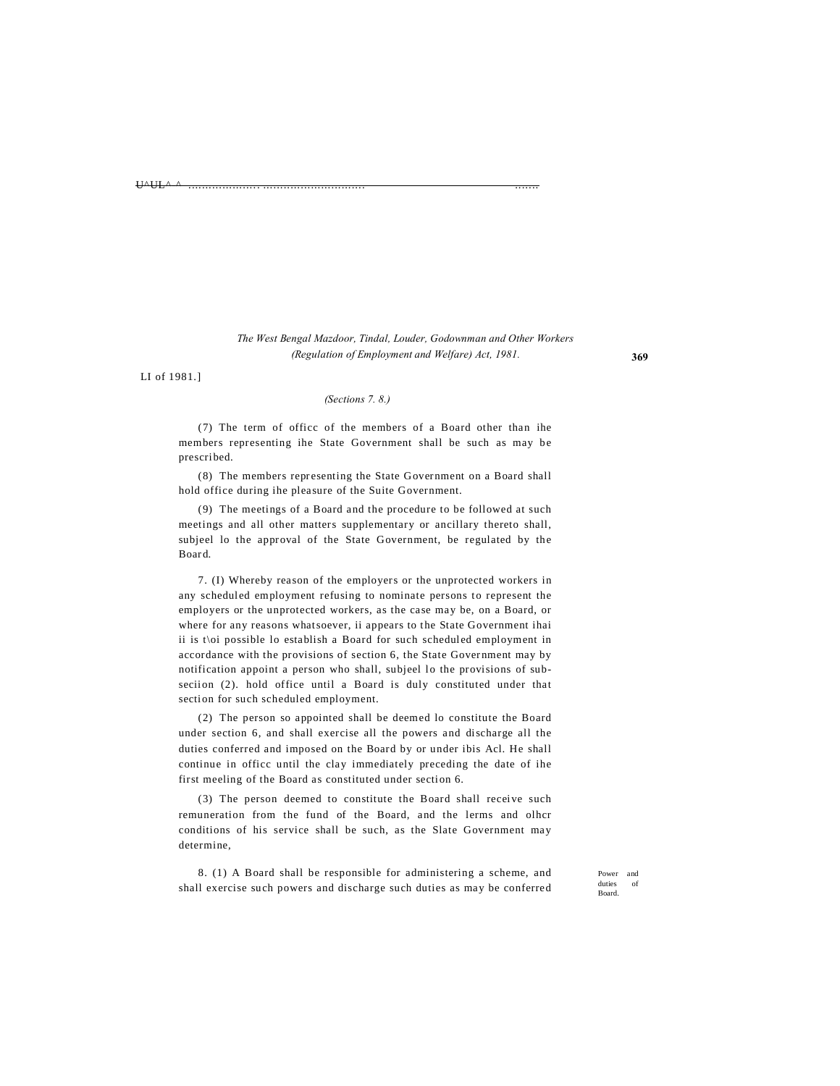#### U^UL^-^ ..................... .............................. .......

# *The West Bengal Mazdoor, Tindal, Louder, Godownman and Other Workers (Regulation of Employment and Welfare) Act, 1981.*

LI of 1981.]

### *(Sections 7. 8.)*

(7) The term of officc of the members of a Board other than ihe members representing ihe State Government shall be such as may be prescribed.

(8) The members representing the State Government on a Board shall hold office during ihe pleasure of the Suite Government.

(9) The meetings of a Board and the procedure to be followed at such meetings and all other matters supplementary or ancillary thereto shall, subjeel lo the approval of the State Government, be regulated by the Board.

7. (I) Whereby reason of the employers or the unprotected workers in any scheduled employment refusing to nominate persons to represent the employers or the unprotected workers, as the case may be, on a Board, or where for any reasons whatsoever, ii appears to the State Government ihai ii is t\oi possible lo establish a Board for such scheduled employment in accordance with the provisions of section 6, the State Government may by notification appoint a person who shall, subjeel lo the provisions of subseciion (2). hold office until a Board is duly constituted under that section for such scheduled employment.

(2) The person so appointed shall be deemed lo constitute the Board under section 6, and shall exercise all the powers and discharge all the duties conferred and imposed on the Board by or under ibis Acl. He shall continue in officc until the clay immediately preceding the date of ihe first meeling of the Board as constituted under section 6.

(3) The person deemed to constitute the Board shall receive such remuneration from the fund of the Board, and the lerms and olhcr conditions of his service shall be such, as the Slate Government may determine,

8. (1) A Board shall be responsible for administering a scheme, and shall exercise such powers and discharge such duties as may be conferred

Power and duties of Board.

**369**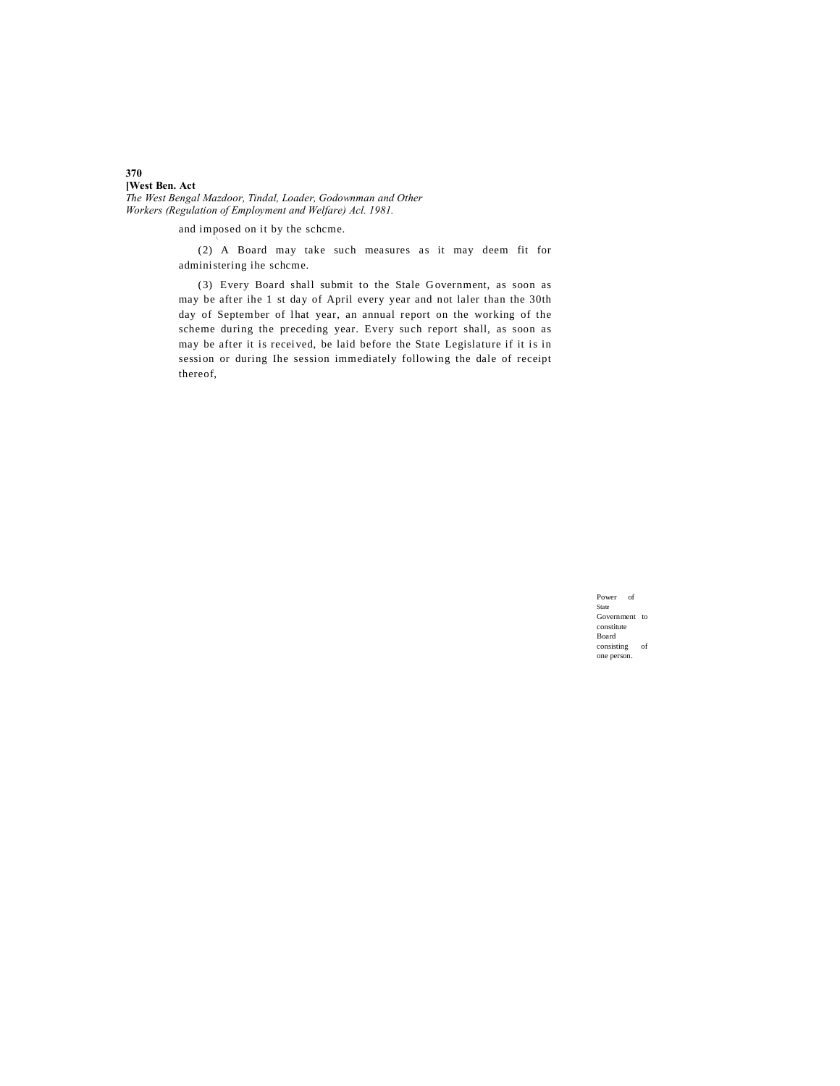### **370 [West Ben. Act**

*The West Bengal Mazdoor, Tindal, Loader, Godownman and Other Workers (Regulation of Employment and Welfare) Acl. 1981.*

and imposed on it by the scheme.

(2) A Board may take such measures as it may deem fit for administering ihe schcme.

(3) Every Board shall submit to the Stale Government, as soon as may be after ihe 1 st day of April every year and not laler than the 30th day of September of lhat year, an annual report on the working of the scheme during the preceding year. Every such report shall, as soon as may be after it is received, be laid before the State Legislature if it is in session or during Ihe session immediately following the dale of receipt thereof,

> Power of State Government to constitute Board consisting of one person.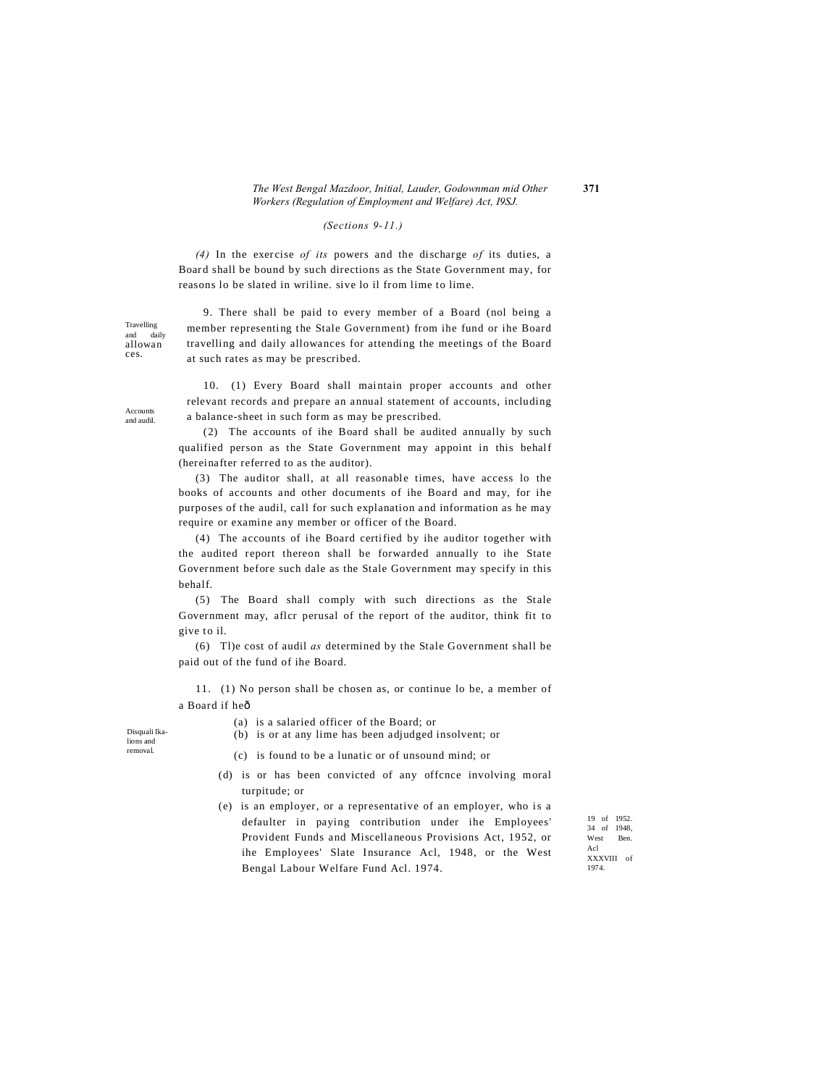### *The West Bengal Mazdoor, Initial, Lauder, Godownman mid Other* **371** *Workers (Regulation of Employment and Welfare) Act, I9SJ.*

### *(Sections 9-11.)*

*(4)* In the exercise *of its* powers and the discharge *of* its duties, a Board shall be bound by such directions as the State Government may, for reasons lo be slated in wriline. sive lo il from lime to lime.

9. There shall be paid to every member of a Board (nol being a member representing the Stale Government) from ihe fund or ihe Board travelling and daily allowances for attending the meetings of the Board at such rates as may be prescribed.

10. (1) Every Board shall maintain proper accounts and other relevant records and prepare an annual statement of accounts, including a balance-sheet in such form as may be prescribed.

(2) The accounts of ihe Board shall be audited annually by such qualified person as the State Government may appoint in this behalf (hereinafter referred to as the auditor).

(3) The auditor shall, at all reasonable times, have access lo the books of accounts and other documents of ihe Board and may, for ihe purposes of the audil, call for such explanation and information as he may require or examine any member or officer of the Board.

(4) The accounts of ihe Board certified by ihe auditor together with the audited report thereon shall be forwarded annually to ihe State Government before such dale as the Stale Government may specify in this behalf.

(5) The Board shall comply with such directions as the Stale Government may, aflcr perusal of the report of the auditor, think fit to give to il.

(6) Tl)e cost of audil *as* determined by the Stale Government shall be paid out of the fund of ihe Board.

11. (1) No person shall be chosen as, or continue lo be, a member of a Board if heô

Disquali Ikalions and removal.

- (a) is a salaried officer of the Board; or
- (b) is or at any lime has been adjudged insolvent; or
- (c) is found to be a lunatic or of unsound mind; or
- (d) is or has been convicted of any offcnce involving moral turpitude; or
- (e) is an employer, or a representative of an employer, who is a defaulter in paying contribution under ihe Employees' Provident Funds and Miscellaneous Provisions Act, 1952, or ihe Employees' Slate Insurance Acl, 1948, or the West Bengal Labour Welfare Fund Acl. 1974.

19 of 1952. 34 of 1948, West Ben. Acl XXXVIII of 1974.

Accounts and audil.

Travelling and daily allowan ces.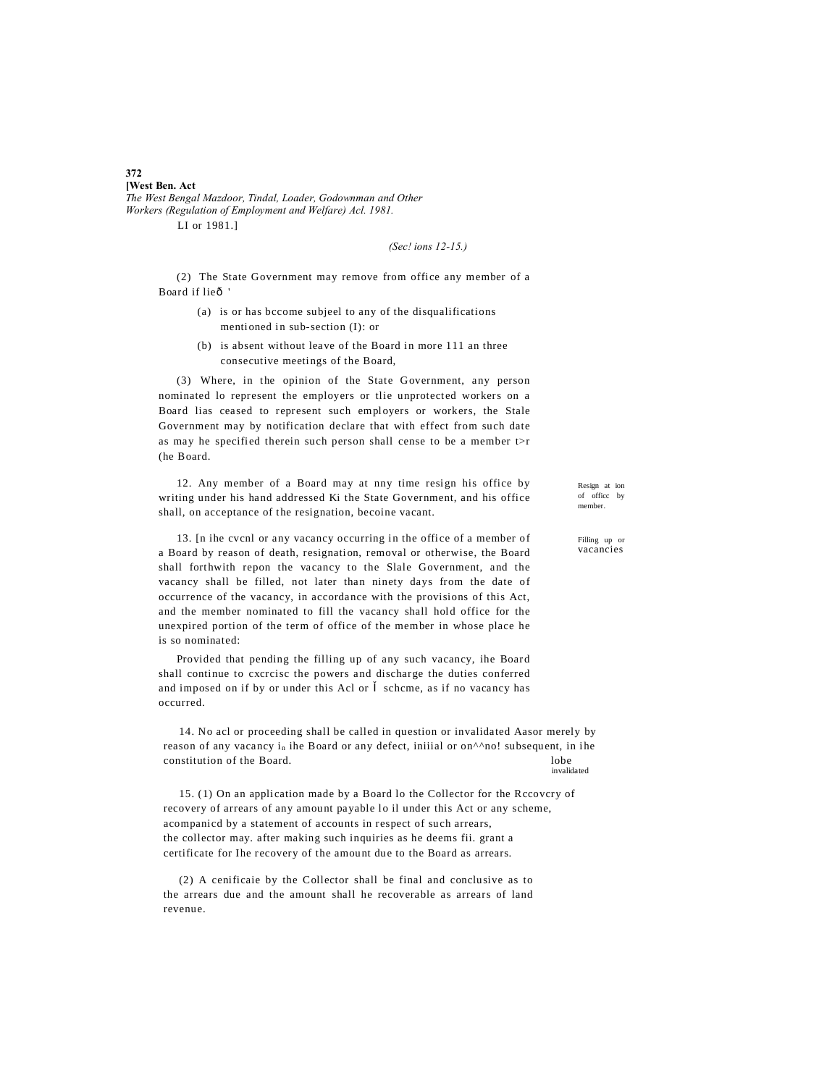### **[West Ben. Act** *The West Bengal Mazdoor, Tindal, Loader, Godownman and Other Workers (Regulation of Employment and Welfare) Acl. 1981.* LI or 1981.]

*(Sec! ions 12-15.)*

(2) The State Government may remove from office any member of a Board if lieô

- (a) is or has bccome subjeel to any of the disqualifications mentioned in sub-section (I): or
- (b) is absent without leave of the Board in more 111 an three consecutive meetings of the Board,

(3) Where, in the opinion of the State Government, any person nominated lo represent the employers or tlie unprotected workers on a Board lias ceased to represent such employers or workers, the Stale Government may by notification declare that with effect from such date as may he specified therein such person shall cense to be a member t>r (he Board.

12. Any member of a Board may at nny time resign his office by writing under his hand addressed Ki the State Government, and his office shall, on acceptance of the resignation, becoine vacant.

13. [n ihe cvcnl or any vacancy occurring in the office of a member of a Board by reason of death, resignation, removal or otherwise, the Board shall forthwith repon the vacancy to the Slale Government, and the vacancy shall be filled, not later than ninety days from the date of occurrence of the vacancy, in accordance with the provisions of this Act, and the member nominated to fill the vacancy shall hold office for the unexpired portion of the term of office of the member in whose place he is so nominated:

Provided that pending the filling up of any such vacancy, ihe Board shall continue to cxcrcisc the powers and discharge the duties conferred and imposed on if by or under this Acl or schcme, as if no vacancy has occurred.

14. No acl or proceeding shall be called in question or invalidated Aasor merely by reason of any vacancy i<sub>n</sub> ihe Board or any defect, iniiial or on<sup> $\land \land$ no! subsequent, in ihe</sup> constitution of the Board. lobe invalidated

15. (1) On an application made by a Board lo the Collector for the Rccovcry of recovery of arrears of any amount payable lo il under this Act or any scheme, acompanicd by a statement of accounts in respect of such arrears, the collector may. after making such inquiries as he deems fii. grant a certificate for Ihe recovery of the amount due to the Board as arrears.

(2) A cenificaie by the Collector shall be final and conclusive as to the arrears due and the amount shall he recoverable as arrears of land revenue.

Resign at ion of officc by member.

Filling up or vacancies

#### **372**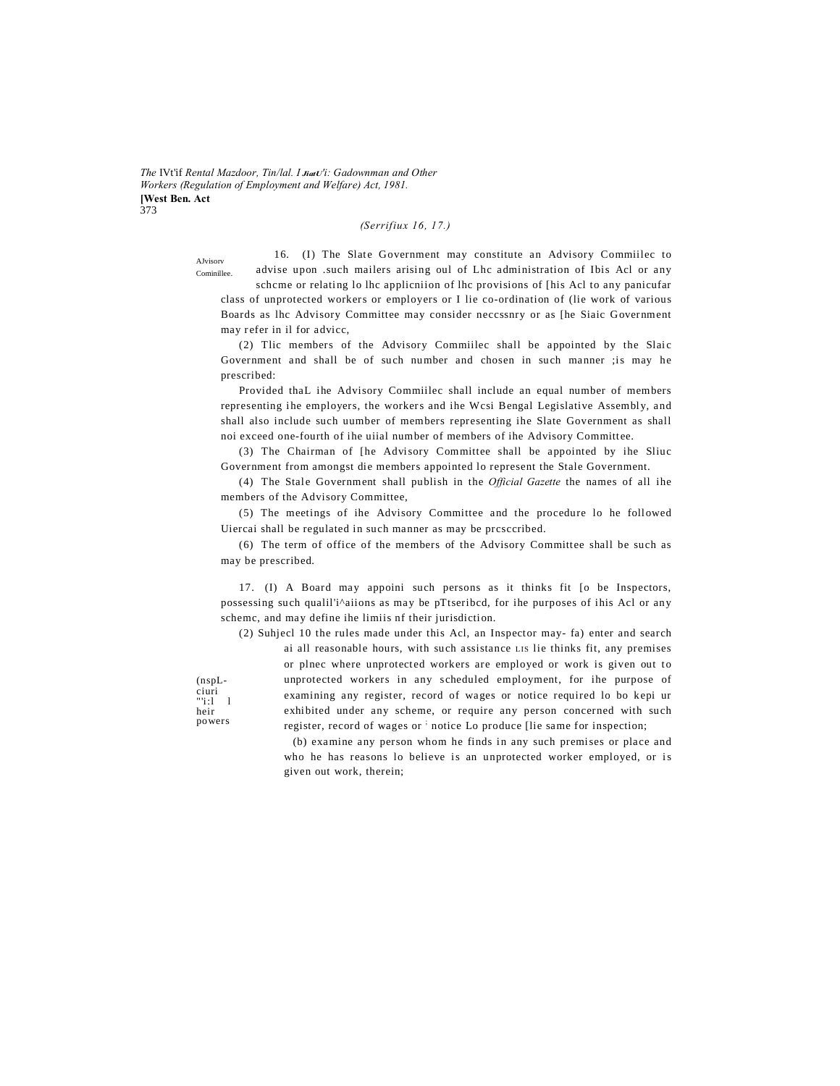The IVt'if Rental Mazdoor, Tin/lal. I JiatU'i: Gadownman and Other Workers (Regulation of Employment and Welfare) Act, 1981. **[West Ben. Act**  $373$ 

# (Serrifiux 16, 17.)

AJvisory Cominillee

16. (I) The Slate Government may constitute an Advisory Commiilec to advise upon .such mailers arising oul of Lhc administration of Ibis Acl or any scheme or relating lo lhe application of lhe provisions of [his Acl to any panicufar

class of unprotected workers or employers or I lie co-ordination of (lie work of various Boards as lhc Advisory Committee may consider necessnry or as [he Siaic Government may refer in il for advice,

(2) Tlic members of the Advisory Commiilec shall be appointed by the Slaic Government and shall be of such number and chosen in such manner ; is may he prescribed:

Provided thaL ihe Advisory Commiilec shall include an equal number of members representing ihe employers, the workers and ihe Wcsi Bengal Legislative Assembly, and shall also include such uumber of members representing ihe Slate Government as shall noi exceed one-fourth of ihe uiial number of members of ihe Advisory Committee.

(3) The Chairman of [he Advisory Committee shall be appointed by ihe Sliuc Government from amongst die members appointed lo represent the Stale Government.

(4) The Stale Government shall publish in the *Official Gazette* the names of all ihe members of the Advisory Committee,

(5) The meetings of ihe Advisory Committee and the procedure lo he followed Uiercai shall be regulated in such manner as may be presecribed.

(6) The term of office of the members of the Advisory Committee shall be such as may be prescribed.

17. (I) A Board may appoini such persons as it thinks fit [o be Inspectors, possessing such qualil'i^aiions as may be pTtseribcd, for ihe purposes of ihis Acl or any scheme, and may define ihe limiis nf their jurisdiction.

(2) Suhjecl 10 the rules made under this Acl, an Inspector may- fa) enter and search

 $(nspL$ ciuri  $"i:1-1$ heir powers

ai all reasonable hours, with such assistance LIS lie thinks fit, any premises or plnec where unprotected workers are employed or work is given out to unprotected workers in any scheduled employment, for ihe purpose of examining any register, record of wages or notice required lo bo kepi ur exhibited under any scheme, or require any person concerned with such register, record of wages or inotice Lo produce [lie same for inspection;

(b) examine any person whom he finds in any such premises or place and who he has reasons lo believe is an unprotected worker employed, or is given out work, therein;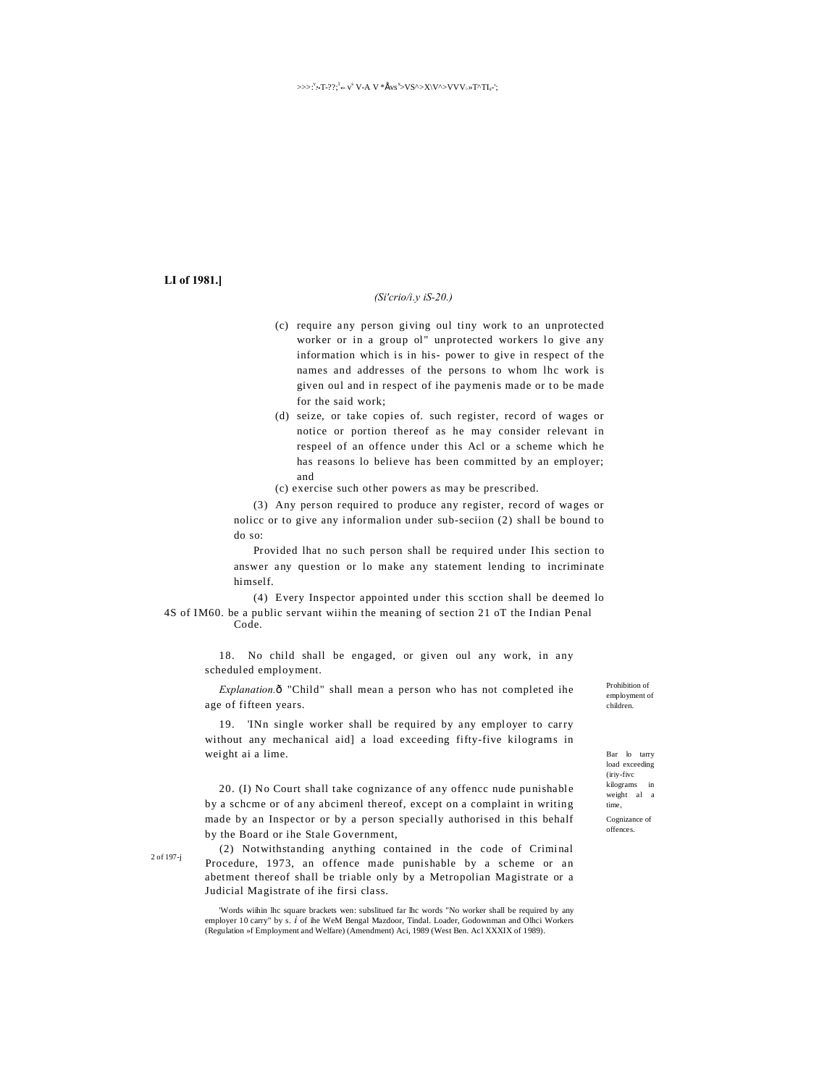# **LI of 1981.]**

### *(Si'crio/i.y iS-20.)*

- (c) require any person giving oul tiny work to an unprotected worker or in a group ol" unprotected workers lo give any information which is in his- power to give in respect of the names and addresses of the persons to whom lhc work is given oul and in respect of ihe paymenis made or to be made for the said work;
- (d) seize, or take copies of. such register, record of wages or notice or portion thereof as he may consider relevant in respeel of an offence under this Acl or a scheme which he has reasons lo believe has been committed by an employer; and
- (c) exercise such other powers as may be prescribed.

(3) Any person required to produce any register, record of wages or nolicc or to give any informalion under sub-seciion (2) shall be bound to do so:

Provided lhat no such person shall be required under Ihis section to answer any question or lo make any statement lending to incriminate himself.

(4) Every Inspector appointed under this scction shall be deemed lo 4S of IM60. be a public servant wiihin the meaning of section 21 oT the Indian Penal Code.

18. No child shall be engaged, or given oul any work, in any scheduled employment.

*Explanation.* $\delta$  "Child" shall mean a person who has not completed ihe age of fifteen years.

19. 'INn single worker shall be required by any employer to carry without any mechanical aid] a load exceeding fifty-five kilograms in weight ai a lime.

20. (I) No Court shall take cognizance of any offencc nude punishable by a schcme or of any abcimenl thereof, except on a complaint in writing made by an Inspector or by a person specially authorised in this behalf by the Board or ihe Stale Government,

(2) Notwithstanding anything contained in the code of Criminal Procedure, 1973, an offence made punishable by a scheme or an abetment thereof shall be triable only by a Metropolian Magistrate or a Judicial Magistrate of ihe firsi class.

'Words wiihin lhc square brackets wen: subslitued far lhc words "No worker shall be required by any employer 10 carry" by s. *i* of ihe WeM Bengal Mazdoor, Tindal. Loader, Godownman and Olhci Workers (Regulation »f Employment and Welfare) (Amendment) Aci, 1989 (West Ben. Acl XXXIX of 1989).

Prohibition of employment of children.

Bar lo tarry load exceeding (iriy-fivc  ${\bf kilograms}$ weight al time, Cognizance of offences.

2 of 197-j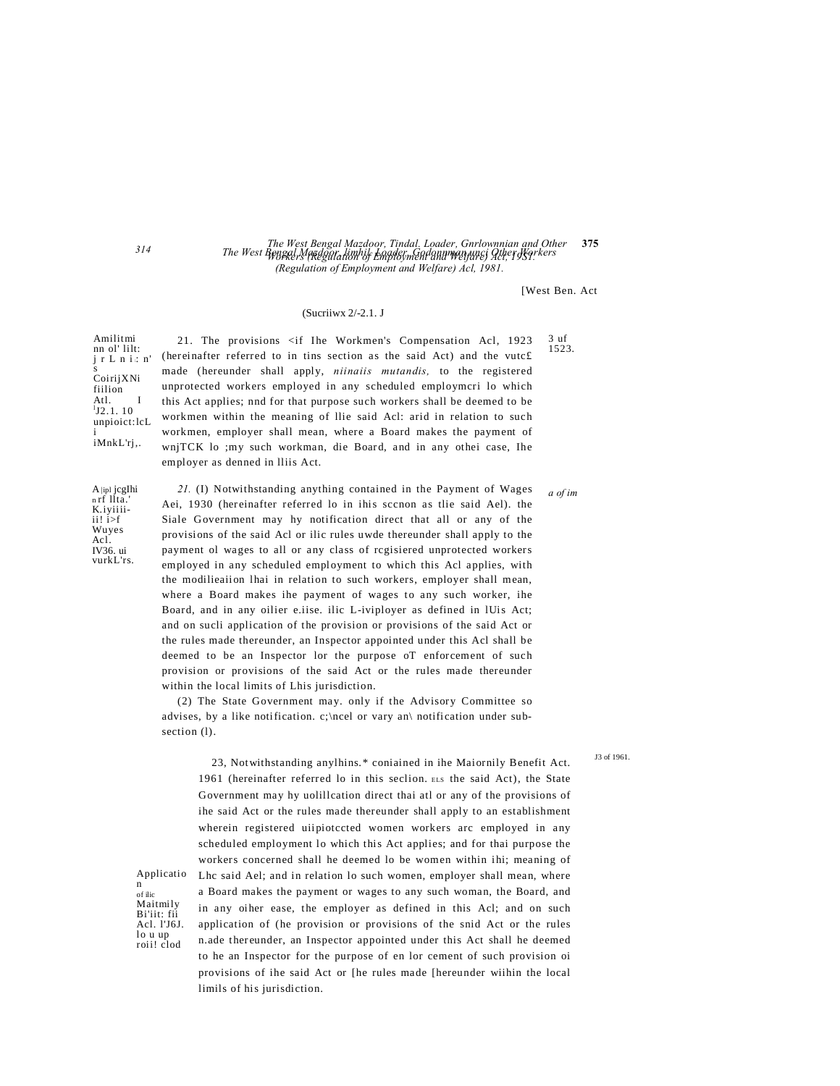#### The West Bengal Mazdoor, Tindal, Loader, Gnrlownnian and Other 375 The West Bengal Medgatation of Employmental mentangung Qther Ngrkers (Regulation of Employment and Welfare) Acl, 1981.

**IWest Ben Act** 

 $3<sub>11</sub>f$ 

1523.

### (Sucrijwx 2/-2.1. J

(hereinafter referred to in tins section as the said Act) and the vutc£

made (hereunder shall apply, niinaiis mutandis, to the registered

unprotected workers employed in any scheduled employmcri lo which

this Act applies; and for that purpose such workers shall be deemed to be

workmen within the meaning of llie said Acl: arid in relation to such

workmen, employer shall mean, where a Board makes the payment of

wnjTCK lo ;my such workman, die Board, and in any othei case, Ihe

21. The provisions <if Ihe Workmen's Compensation Acl, 1923

Amilitmi nn ol' lilt: j r L n i: n' CoirijXNi fiilion Atl.<br> $^{1}_{1}$ J2.1.10 I unpioict:lcL iMnkL'rj,.

A |ip1 jcgIhi n rf llta. K.iyiiii $ii!$  i>f Wuyes Ac1. IV36. ui vurkL'rs.

Applicatio

Bi'iit: fii<br>Acl. 1'J6J.

lo u up<br>roii! clod

 $\mathbf n$ 

of ilic Maitmily

employer as denned in Iliis Act. 21. (I) Notwithstanding anything contained in the Payment of Wages a of im Aei, 1930 (hereinafter referred lo in ihis sccnon as tlie said Ael). the Siale Government may hy notification direct that all or any of the provisions of the said Acl or ilic rules uwde thereunder shall apply to the payment ol wages to all or any class of regisiered unprotected workers employed in any scheduled employment to which this Acl applies, with the modilieaiion lhai in relation to such workers, employer shall mean, where a Board makes ihe payment of wages to any such worker, ihe Board, and in any oilier e.iise. ilic L-iviployer as defined in IUis Act; and on sucli application of the provision or provisions of the said Act or the rules made thereunder, an Inspector appointed under this Acl shall be deemed to be an Inspector lor the purpose oT enforcement of such provision or provisions of the said Act or the rules made thereunder within the local limits of Lhis jurisdiction.

(2) The State Government may. only if the Advisory Committee so advises, by a like notification. c;\ncel or vary an\ notification under subsection (1).

J3 of 1961

23, Notwithstanding anylhins.\* coniained in ihe Maiornily Benefit Act. 1961 (hereinafter referred lo in this seclion. ELS the said Act), the State Government may hy uolillcation direct thai atl or any of the provisions of ihe said Act or the rules made thereunder shall apply to an establishment wherein registered uiipiotccted women workers arc employed in any scheduled employment lo which this Act applies; and for thai purpose the workers concerned shall he deemed lo be women within ihi; meaning of Lhc said Ael; and in relation lo such women, employer shall mean, where a Board makes the payment or wages to any such woman, the Board, and in any oiher ease, the employer as defined in this Acl; and on such application of (he provision or provisions of the snid Act or the rules n.ade thereunder, an Inspector appointed under this Act shall he deemed to he an Inspector for the purpose of en lor cement of such provision oi provisions of ihe said Act or [he rules made [hereunder wiihin the local limils of his jurisdiction.

 $314$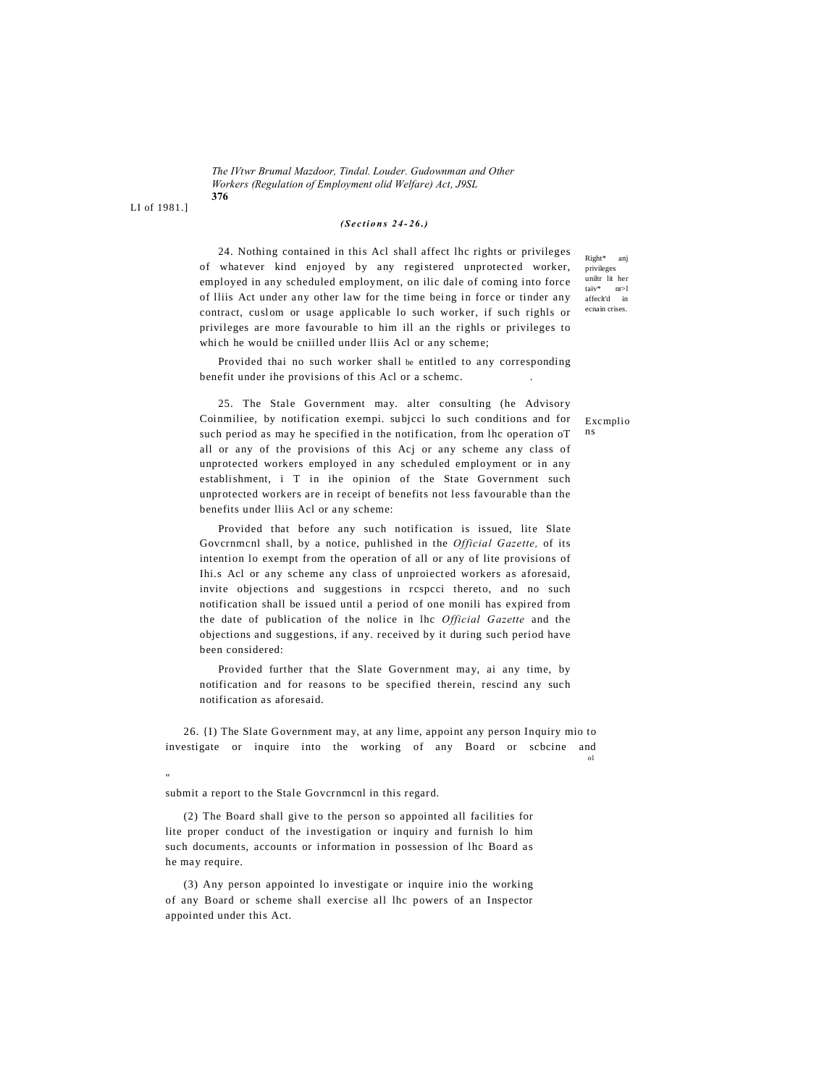The IV twr Brumal Mazdoor, Tindal, Louder, Gudownman and Other Workers (Regulation of Employment olid Welfare) Act, J9SL 376

LI of 1981.1

 $(Sections 24-26.)$ 

24. Nothing contained in this Acl shall affect lhc rights or privileges of whatever kind enjoyed by any registered unprotected worker, employed in any scheduled employment, on ilic dale of coming into force of Iliis Act under any other law for the time being in force or tinder any contract, cuslom or usage applicable lo such worker, if such righls or privileges are more favourable to him ill an the righls or privileges to which he would be cniilled under lliis Acl or any scheme;

Provided thai no such worker shall be entitled to any corresponding benefit under ihe provisions of this Acl or a scheme.

25. The Stale Government may. alter consulting (he Advisory Coinmiliee, by notification exempi. subject lo such conditions and for such period as may he specified in the notification, from lhc operation oT all or any of the provisions of this Acj or any scheme any class of unprotected workers employed in any scheduled employment or in any establishment, i T in ihe opinion of the State Government such unprotected workers are in receipt of benefits not less favourable than the benefits under Iliis Acl or any scheme:

Provided that before any such notification is issued, lite Slate Governmenl shall, by a notice, puhlished in the Official Gazette, of its intention lo exempt from the operation of all or any of lite provisions of Ihi.s Acl or any scheme any class of unproiected workers as aforesaid, invite objections and suggestions in respeci thereto, and no such notification shall be issued until a period of one monili has expired from the date of publication of the nolice in lhc Official Gazette and the objections and suggestions, if any. received by it during such period have been considered:

Provided further that the Slate Government may, ai any time, by notification and for reasons to be specified therein, rescind any such notification as aforesaid.

26. {I) The Slate Government may, at any lime, appoint any person Inquiry mio to investigate or inquire into the working of any Board or scbcine and  $0<sup>1</sup>$ 

submit a report to the Stale Governmenl in this regard.

(2) The Board shall give to the person so appointed all facilities for lite proper conduct of the investigation or inquiry and furnish lo him such documents, accounts or information in possession of lhc Board as he may require.

(3) Any person appointed lo investigate or inquire inio the working of any Board or scheme shall exercise all lhc powers of an Inspector appointed under this Act.

Exemplio n<sub>s</sub>

Right\* ani

privileges uniltr lit her

taiv\*  $nr>1$ 

 $\frac{\text{and}}{\text{affect}}$  $\overline{\mathbf{m}}$ ecnain crises.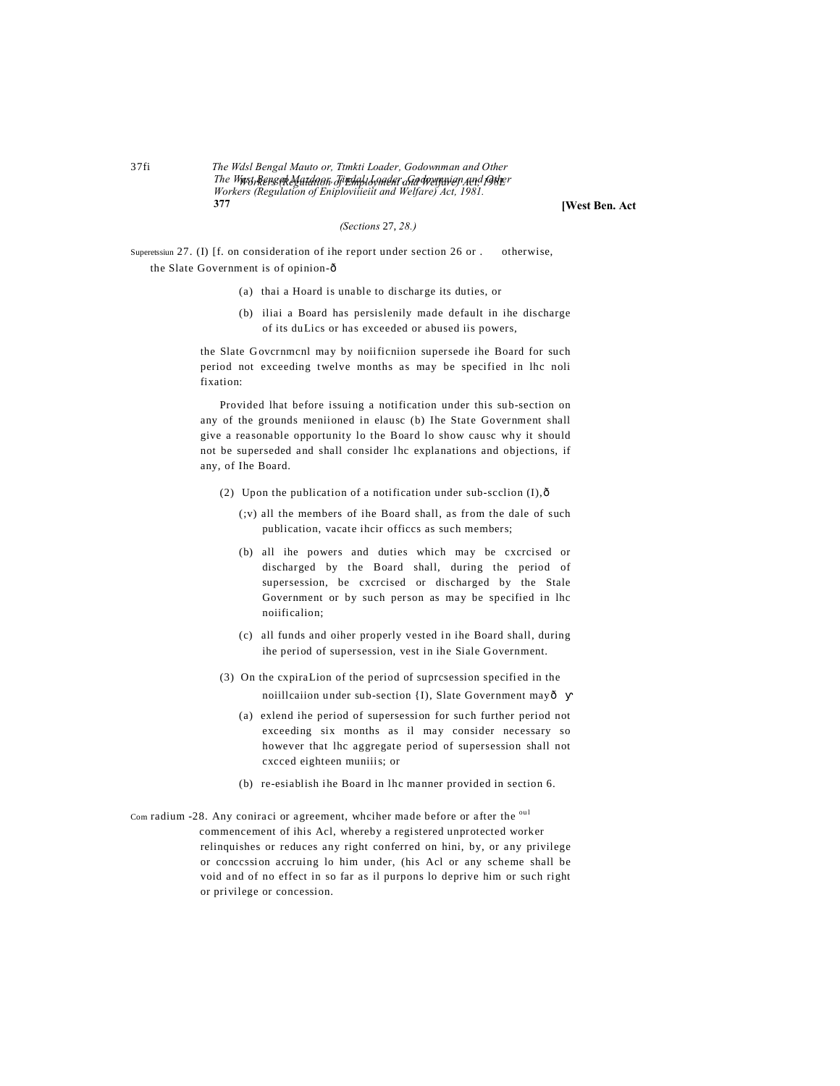The Wdsl Bengal Mauto or, Ttmkti Loader, Godownman and Other The Wast Renserk Matdack Ji polal Londer and desination and foller<br>Workers (Regulation of Eniplovitieiti and Welfare) Act, 1981. 377

[West Ben. Act

### (Sections 27, 28.)

Superetssiun 27. (I) [f. on consideration of ihe report under section 26 or. otherwise. the Slate Government is of opinion-ô

- (a) thai a Hoard is unable to discharge its duties, or
- (b) iliai a Board has persislenily made default in ihe discharge of its duLics or has exceeded or abused iis powers,

the Slate Governmenl may by noiificniion supersede ihe Board for such period not exceeding twelve months as may be specified in lhc noli fixation:

Provided lhat before issuing a notification under this sub-section on any of the grounds meniioned in elausc (b) Ihe State Government shall give a reasonable opportunity lo the Board lo show causc why it should not be superseded and shall consider lhc explanations and objections, if any, of Ihe Board.

- (2) Upon the publication of a notification under sub-scclion  $(I)$ ,  $\delta$ 
	- (;v) all the members of ihe Board shall, as from the dale of such publication, vacate ihcir offices as such members;
	- (b) all ihe powers and duties which may be cxcrcised or discharged by the Board shall, during the period of supersession, be cxcrcised or discharged by the Stale Government or by such person as may be specified in lhc noiificalion;
	- (c) all funds and oiher properly vested in ihe Board shall, during ihe period of supersession, vest in ihe Siale Government.
- (3) On the expiral ion of the period of supresession specified in the noiillcaiion under sub-section {I}, Slate Government mayô
	- (a) exlend ihe period of supersession for such further period not exceeding six months as il may consider necessary so however that lhc aggregate period of supersession shall not cxcced eighteen muniiis; or
	- (b) re-esiablish ihe Board in lhc manner provided in section 6.
- Com radium -28. Any coniraci or agreement, whciher made before or after the oul commencement of ihis Acl, whereby a registered unprotected worker relinquishes or reduces any right conferred on hini, by, or any privilege or concession accruing lo him under, (his Acl or any scheme shall be void and of no effect in so far as il purpons lo deprive him or such right or privilege or concession.

 $37fi$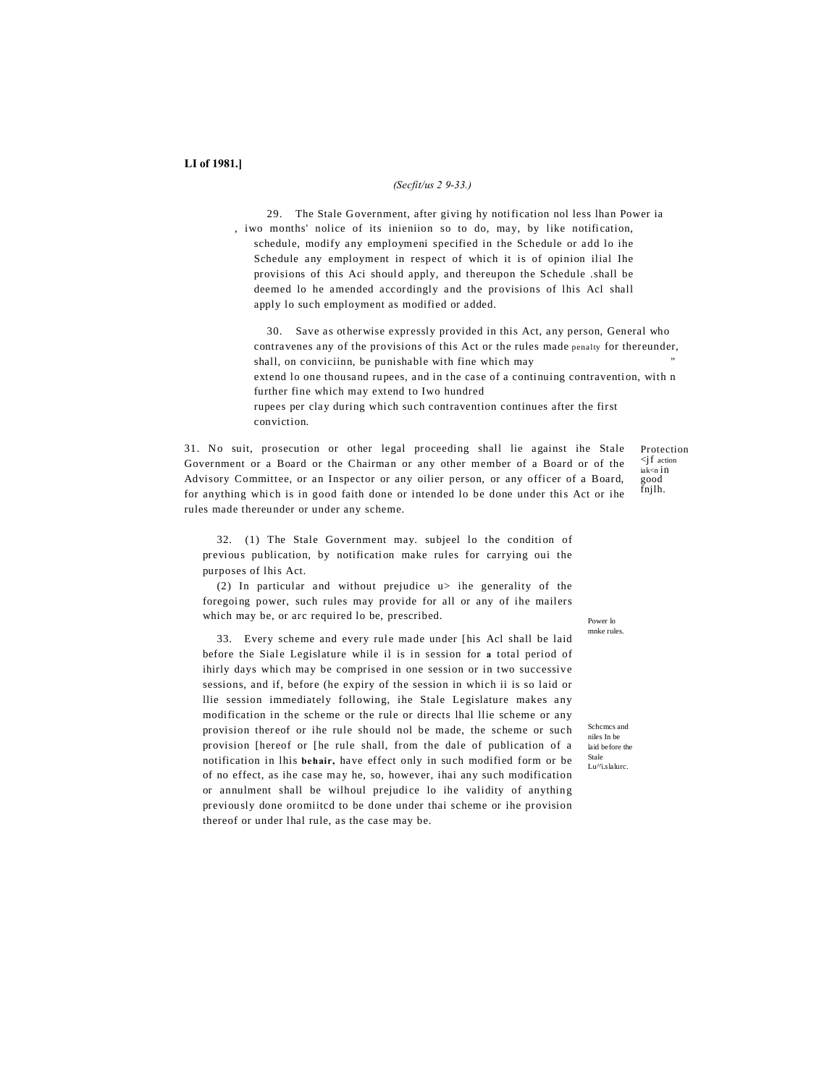### *(Secfit/us 2 9-33.)*

29. The Stale Government, after giving hy notification nol less lhan Power ia , iwo months' nolice of its inieniion so to do, may, by like notification, schedule, modify any employmeni specified in the Schedule or add lo ihe Schedule any employment in respect of which it is of opinion ilial Ihe provisions of this Aci should apply, and thereupon the Schedule .shall be deemed lo he amended accordingly and the provisions of lhis Acl shall apply lo such employment as modified or added.

30. Save as otherwise expressly provided in this Act, any person, General who contravenes any of the provisions of this Act or the rules made penalty for thereunder, shall, on conviciinn, be punishable with fine which may extend lo one thousand rupees, and in the case of a continuing contravention, with n further fine which may extend to Iwo hundred rupees per clay during which such contravention continues after the first conviction.

31. No suit, prosecution or other legal proceeding shall lie against ihe Stale Government or a Board or the Chairman or any other member of a Board or of the Advisory Committee, or an Inspector or any oilier person, or any officer of a Board, for anything which is in good faith done or intended lo be done under this Act or ihe rules made thereunder or under any scheme.

32. (1) The Stale Government may. subjeel lo the condition of previous publication, by notification make rules for carrying oui the purposes of lhis Act.

(2) In particular and without prejudice u> ihe generality of the foregoing power, such rules may provide for all or any of ihe mailers which may be, or arc required lo be, prescribed.

33. Every scheme and every rule made under [his Acl shall be laid before the Siale Legislature while il is in session for **a** total period of ihirly days which may be comprised in one session or in two successive sessions, and if, before (he expiry of the session in which ii is so laid or llie session immediately following, ihe Stale Legislature makes any modification in the scheme or the rule or directs lhal llie scheme or any provision thereof or ihe rule should nol be made, the scheme or such provision [hereof or [he rule shall, from the dale of publication of a notification in lhis **behair,** have effect only in such modified form or be of no effect, as ihe case may he, so, however, ihai any such modification or annulment shall be wilhoul prejudice lo ihe validity of anything previously done oromiitcd to be done under thai scheme or ihe provision thereof or under lhal rule, as the case may be.

Protection  $\langle$ jf action iak<n in good  $f$ njlh.

Power lo mnke rules.

Schcmcs and niles In be laid before the Stale Lu^'i.slalurc.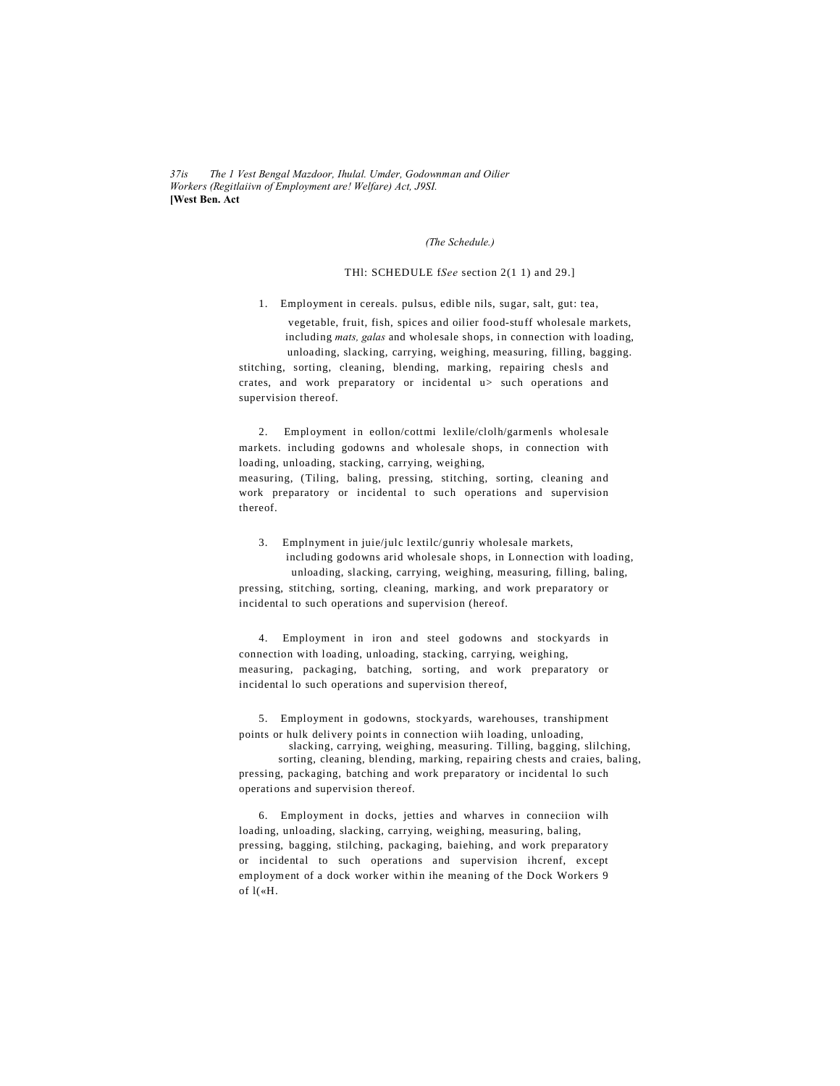$37i<sub>S</sub>$ The 1 Vest Bengal Mazdoor, Ihulal. Umder, Godownman and Oilier Workers (Regitlaiivn of Employment are! Welfare) Act, J9SI. **[West Ben. Act** 

(The Schedule.)

# THI: SCHEDULE fSee section 2(1 1) and 29.]

1. Employment in cereals. pulsus, edible nils, sugar, salt, gut: tea,

vegetable, fruit, fish, spices and oilier food-stuff wholesale markets, including mats, galas and wholesale shops, in connection with loading, unloading, slacking, carrying, weighing, measuring, filling, bagging. stitching, sorting, cleaning, blending, marking, repairing chesls and crates, and work preparatory or incidental u> such operations and supervision thereof.

2. Employment in eollon/cottmi lexlile/clolh/garmenls wholesale markets. including godowns and wholesale shops, in connection with loading, unloading, stacking, carrying, weighing, measuring, (Tiling, baling, pressing, stitching, sorting, cleaning and work preparatory or incidental to such operations and supervision thereof.

3. Emplnyment in juie/julc lextilc/gunriy wholesale markets, including godowns arid wholesale shops, in Lonnection with loading, unloading, slacking, carrying, weighing, measuring, filling, baling, pressing, stitching, sorting, cleaning, marking, and work preparatory or incidental to such operations and supervision (hereof.

4. Employment in iron and steel godowns and stockyards in connection with loading, unloading, stacking, carrying, weighing, measuring, packaging, batching, sorting, and work preparatory or incidental lo such operations and supervision thereof,

5. Employment in godowns, stockyards, warehouses, transhipment points or hulk delivery points in connection with loading, unloading,

slacking, carrying, weighing, measuring. Tilling, bagging, slilching, sorting, cleaning, blending, marking, repairing chests and craies, baling,

pressing, packaging, batching and work preparatory or incidental lo such operations and supervision thereof.

6. Employment in docks, jetties and wharves in conneciion wilh loading, unloading, slacking, carrying, weighing, measuring, baling, pressing, bagging, stilching, packaging, baiehing, and work preparatory or incidental to such operations and supervision ihcrenf, except employment of a dock worker within ihe meaning of the Dock Workers 9 of  $l$ («H.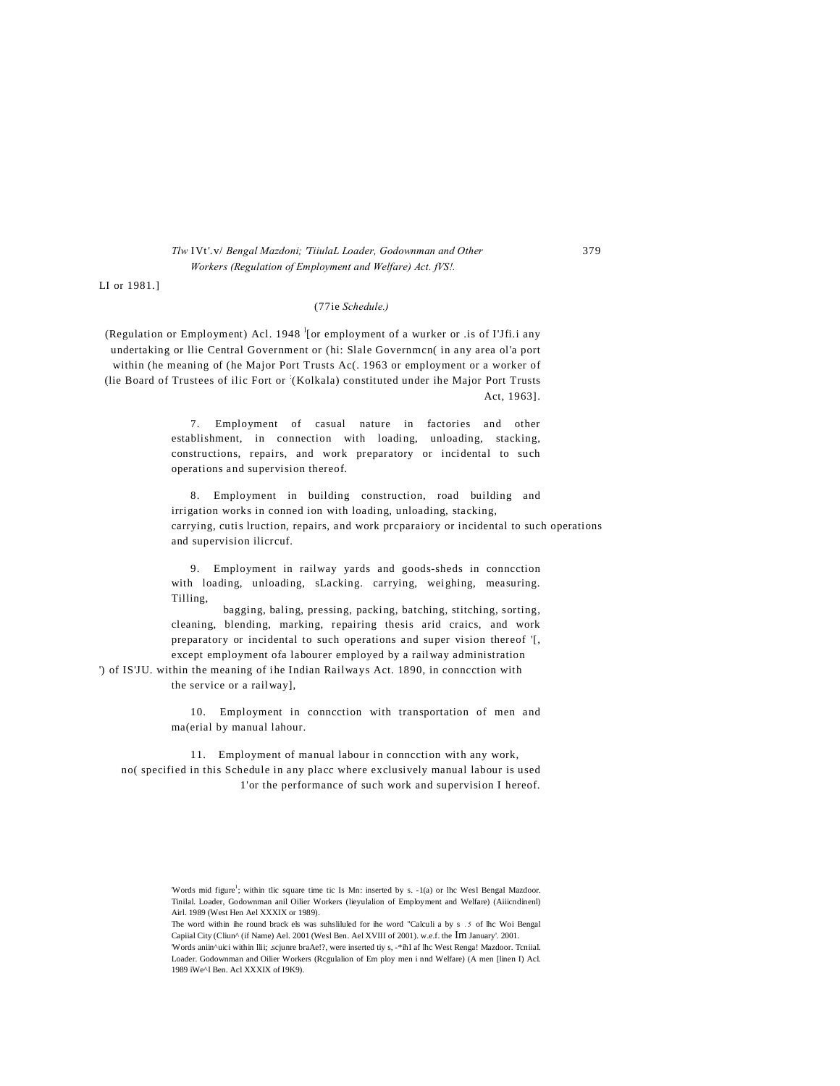# *Tlw* IVt'.v/ *Bengal Mazdoni; 'TiiulaL Loader, Godownman and Other* 379 *Workers (Regulation of Employment and Welfare) Act. fVS!.*

LI or 1981.]

#### (77ie *Schedule.)*

(Regulation or Employment) Acl. 1948  $\frac{1}{2}$  or employment of a wurker or .is of I'Jfi.i any undertaking or llie Central Government or (hi: Slale Governmcn( in any area ol'a port within (he meaning of (he Major Port Trusts Ac(. 1963 or employment or a worker of (lie Board of Trustees of ilic Fort or : (Kolkala) constituted under ihe Major Port Trusts Act, 1963].

> 7. Employment of casual nature in factories and other establishment, in connection with loading, unloading, stacking, constructions, repairs, and work preparatory or incidental to such operations and supervision thereof.

8. Employment in building construction, road building and irrigation works in conned ion with loading, unloading, stacking, carrying, cutis lruction, repairs, and work prcparaiory or incidental to such operations and supervision ilicrcuf.

9. Employment in railway yards and goods-sheds in conncction with loading, unloading, sLacking. carrying, weighing, measuring. Tilling,

bagging, baling, pressing, packing, batching, stitching, sorting, cleaning, blending, marking, repairing thesis arid craics, and work preparatory or incidental to such operations and super vision thereof '[, except employment ofa labourer employed by a railway administration

') of IS'JU. within the meaning of ihe Indian Railways Act. 1890, in conncction with the service or a railway],

> 10. Employment in conncction with transportation of men and ma(erial by manual lahour.

11. Employment of manual labour in conncction with any work, no( specified in this Schedule in any placc where exclusively manual labour is used 1'or the performance of such work and supervision I hereof.

Words mid figure<sup>1</sup>; within tlic square time tic Is Mn: inserted by s. -1(a) or lhc Wesl Bengal Mazdoor. Tinilal. Loader, Godownman anil Oilier Workers (lieyulalion of Employment and Welfare) (Aiiicndinenl) Airl. 1989 (West Hen Ael XXXIX or 1989).

The word within ihe round brack els was suhsliluled for ihe word "Calculi a by s *. 5* of lhc Woi Bengal Capiial City (Cliun^ (if Name) Ael. 2001 (Wesl Ben. Ael XVIII of 2001). w.e.f. the Im January'. 2001.

<sup>&#</sup>x27;Words aniin^uici within llii; scjunre braAe!?, were inserted tiy s, -\*ihI af lhc West Renga! Mazdoor. Tcniial. Loader. Godownman and Oilier Workers (Rcgulalion of Em ploy men i nnd Welfare) (A men [linen I) Acl. 1989 iWe^l Ben. Acl XXXIX of I9K9).